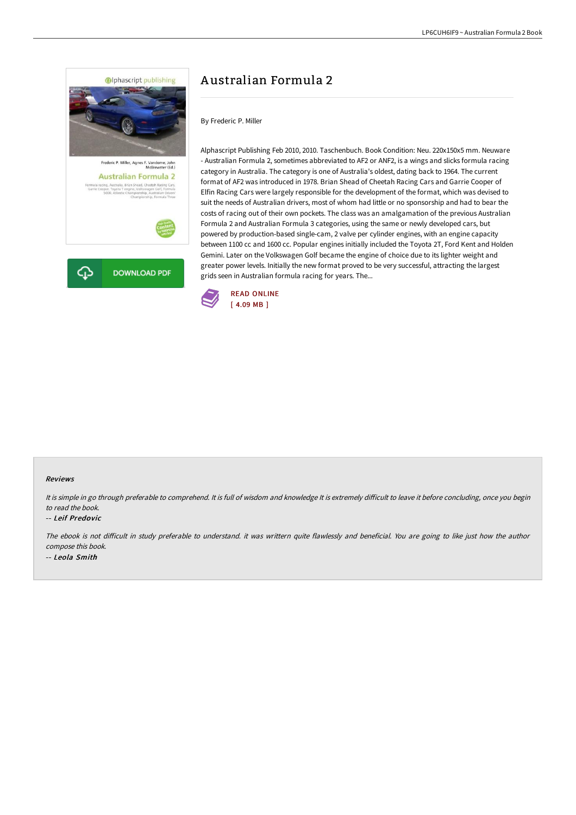

# A ustralian Formula 2

By Frederic P. Miller

Alphascript Publishing Feb 2010, 2010. Taschenbuch. Book Condition: Neu. 220x150x5 mm. Neuware - Australian Formula 2, sometimes abbreviated to AF2 or ANF2, is a wings and slicks formula racing category in Australia. The category is one of Australia's oldest, dating back to 1964. The current format of AF2 was introduced in 1978. Brian Shead of Cheetah Racing Cars and Garrie Cooper of Elfin Racing Cars were largely responsible for the development of the format, which was devised to suit the needs of Australian drivers, most of whom had little or no sponsorship and had to bear the costs of racing out of their own pockets. The class was an amalgamation of the previous Australian Formula 2 and Australian Formula 3 categories, using the same or newly developed cars, but powered by production-based single-cam, 2 valve per cylinder engines, with an engine capacity between 1100 cc and 1600 cc. Popular engines initially included the Toyota 2T, Ford Kent and Holden Gemini. Later on the Volkswagen Golf became the engine of choice due to its lighter weight and greater power levels. Initially the new format proved to be very successful, attracting the largest grids seen in Australian formula racing for years. The...



### Reviews

It is simple in go through preferable to comprehend. It is full of wisdom and knowledge It is extremely difficult to leave it before concluding, once you begin to read the book.

#### -- Leif Predovic

The ebook is not difficult in study preferable to understand, it was writtern quite flawlessly and beneficial. You are going to like just how the author compose this book. -- Leola Smith